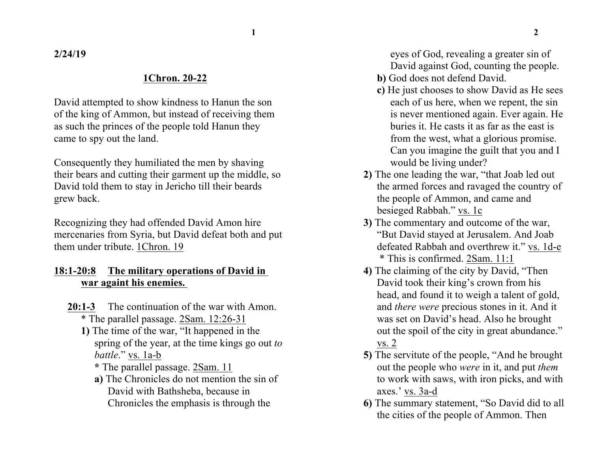**1 2**

**2/24/19**

### **1Chron. 20-22**

David attempted to show kindness to Hanun the son of the king of Ammon, but instead of receiving them as such the princes of the people told Hanun they came to spy out the land.

Consequently they humiliated the men by shaving their bears and cutting their garment up the middle, so David told them to stay in Jericho till their beards grew back.

Recognizing they had offended David Amon hire mercenaries from Syria, but David defeat both and put them under tribute. 1Chron. 19

## **18:1-20:8 The military operations of David in war againt his enemies.**

**20:1-3** The continuation of the war with Amon. \* The parallel passage. 2Sam. 12:26-31

- **1)** The time of the war, "It happened in the spring of the year, at the time kings go out *to battle*." vs. 1a-b
	- **\*** The parallel passage. 2Sam. 11
	- **a)** The Chronicles do not mention the sin of David with Bathsheba, because in Chronicles the emphasis is through the

eyes of God, revealing a greater sin of David against God, counting the people.

- **b**) God does not defend David.
- **c)** He just chooses to show David as He sees each of us here, when we repent, the sin is never mentioned again. Ever again. He buries it. He casts it as far as the east is from the west, what a glorious promise. Can you imagine the guilt that you and I would be living under?
- **2)** The one leading the war, "that Joab led out the armed forces and ravaged the country of the people of Ammon, and came and besieged Rabbah." vs. 1c
- **3)** The commentary and outcome of the war, "But David stayed at Jerusalem. And Joab defeated Rabbah and overthrew it." vs. 1d-e \* This is confirmed. 2Sam. 11:1
- **4)** The claiming of the city by David, "Then David took their king's crown from his head, and found it to weigh a talent of gold, and *there were* precious stones in it. And it was set on David's head. Also he brought out the spoil of the city in great abundance." vs. 2
- **5)** The servitute of the people, "And he brought out the people who *were* in it, and put *them* to work with saws, with iron picks, and with axes.' vs. 3a-d
- **6)** The summary statement, "So David did to all the cities of the people of Ammon. Then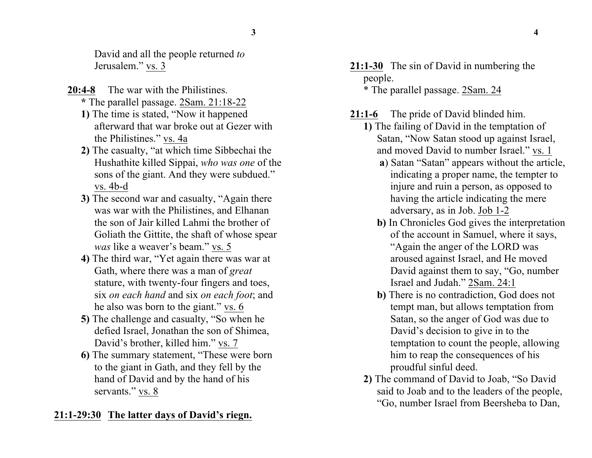David and all the people returned *to* Jerusalem." vs. 3

- **20:4-8** The war with the Philistines. **\*** The parallel passage. 2Sam. 21:18-22
	- **1)** The time is stated, "Now it happened afterward that war broke out at Gezer with the Philistines." vs. 4a
	- **2)** The casualty, "at which time Sibbechai the Hushathite killed Sippai, *who was one* of the sons of the giant. And they were subdued." vs. 4b-d
	- **3)** The second war and casualty, "Again there was war with the Philistines, and Elhanan the son of Jair killed Lahmi the brother of Goliath the Gittite, the shaft of whose spear *was* like a weaver's beam." vs. 5
	- **4)** The third war, "Yet again there was war at Gath, where there was a man of *great* stature, with twenty-four fingers and toes, six *on each hand* and six *on each foot*; and he also was born to the giant." vs. 6
	- **5)** The challenge and casualty, "So when he defied Israel, Jonathan the son of Shimea, David's brother, killed him." vs. 7
	- **6)** The summary statement, "These were born to the giant in Gath, and they fell by the hand of David and by the hand of his servants." vs. 8

# **21:1-29:30 The latter days of David's riegn.**

- **21:1-30** The sin of David in numbering the people.
	- \* The parallel passage. 2Sam. 24
- **21:1-6** The pride of David blinded him.
	- **1)** The failing of David in the temptation of Satan, "Now Satan stood up against Israel, and moved David to number Israel." vs. 1
		- **a**) Satan "Satan" appears without the article, indicating a proper name, the tempter to injure and ruin a person, as opposed to having the article indicating the mere adversary, as in Job. Job 1-2
		- **b)** In Chronicles God gives the interpretation of the account in Samuel, where it says, "Again the anger of the LORD was aroused against Israel, and He moved David against them to say, "Go, number Israel and Judah." 2Sam. 24:1
		- **b)** There is no contradiction, God does not tempt man, but allows temptation from Satan, so the anger of God was due to David's decision to give in to the temptation to count the people, allowing him to reap the consequences of his proudful sinful deed.
	- **2)** The command of David to Joab, "So David said to Joab and to the leaders of the people, "Go, number Israel from Beersheba to Dan,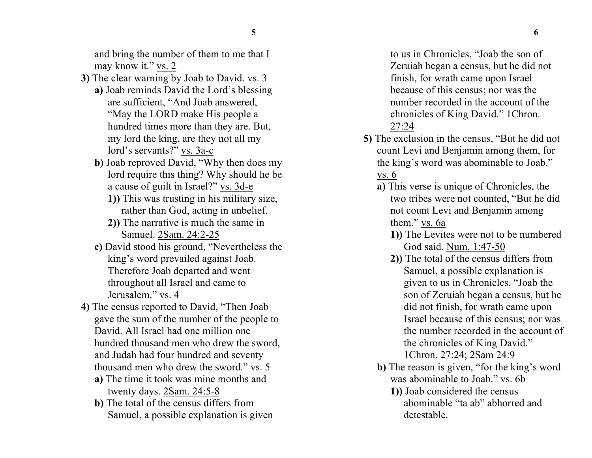and bring the number of them to me that I may know it." vs. 2

- **3)** The clear warning by Joab to David. vs. 3
	- **a)** Joab reminds David the Lord's blessing are sufficient, "And Joab answered, "May the LORD make His people a hundred times more than they are. But, my lord the king, are they not all my lord's servants?" vs. 3a-c
	- **b)** Joab reproved David, "Why then does my lord require this thing? Why should he be a cause of guilt in Israel?" vs. 3d-e
		- **1))** This was trusting in his military size, rather than God, acting in unbelief.
		- **2))** The narrative is much the same in Samuel. 2Sam. 24:2-25
	- **c)** David stood his ground, "Nevertheless the king's word prevailed against Joab. Therefore Joab departed and went throughout all Israel and came to Jerusalem." vs. 4
- **4)** The census reported to David, "Then Joab gave the sum of the number of the people to David. All Israel had one million one hundred thousand men who drew the sword, and Judah had four hundred and seventy thousand men who drew the sword." vs. 5
	- **a)** The time it took was mine months and twenty days. 2Sam. 24:5-8
	- **b)** The total of the census differs from Samuel, a possible explanation is given

to us in Chronicles, "Joab the son of Zeruiah began a census, but he did not finish, for wrath came upon Israel because of this census; nor was the number recorded in the account of the chronicles of King David." 1Chron. 27:24

- **5)** The exclusion in the census, "But he did not count Levi and Benjamin among them, for the king's word was abominable to Joab." vs. 6
	- **a)** This verse is unique of Chronicles, the two tribes were not counted, "But he did not count Levi and Benjamin among them." vs. 6a
		- **1))** The Levites were not to be numbered God said. Num. 1:47-50
		- **2))** The total of the census differs from Samuel, a possible explanation is given to us in Chronicles, "Joab the son of Zeruiah began a census, but he did not finish, for wrath came upon Israel because of this census; nor was the number recorded in the account of the chronicles of King David." 1Chron. 27:24; 2Sam 24:9
	- **b)** The reason is given, "for the king's word was abominable to Joab." vs. 6b
		- **1))** Joab considered the census abominable "ta ab" abhorred and detestable.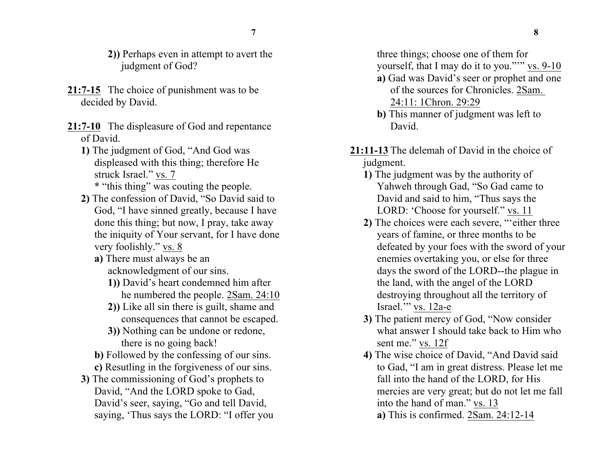- **2))** Perhaps even in attempt to avert the judgment of God?
- **21:7-15** The choice of punishment was to be decided by David.
- **21:7-10** The displeasure of God and repentance of David.
	- **1)** The judgment of God, "And God was displeased with this thing; therefore He struck Israel." vs. 7
		- \* "this thing" was couting the people.
	- **2)** The confession of David, "So David said to God, "I have sinned greatly, because I have done this thing; but now, I pray, take away the iniquity of Your servant, for I have done very foolishly." vs. 8
		- **a)** There must always be an acknowledgment of our sins.
			- **1))** David's heart condemned him after he numbered the people. 2Sam. 24:10
			- **2))** Like all sin there is guilt, shame and consequences that cannot be escaped.
			- **3))** Nothing can be undone or redone, there is no going back!
		- **b)** Followed by the confessing of our sins.
		- **c)** Resutling in the forgiveness of our sins.
	- **3)** The commissioning of God's prophets to David, "And the LORD spoke to Gad, David's seer, saying, "Go and tell David, saying, 'Thus says the LORD: "I offer you

three things; choose one of them for yourself, that I may do it to you."'" vs. 9-10

- **a)** Gad was David's seer or prophet and one of the sources for Chronicles. 2Sam. 24:11: 1Chron. 29:29
- **b)** This manner of judgment was left to David.
- **21:11-13** The delemah of David in the choice of judgment.
	- **1)** The judgment was by the authority of Yahweh through Gad, "So Gad came to David and said to him, "Thus says the LORD: 'Choose for yourself." vs. 11
	- **2)** The choices were each severe, "'either three years of famine, or three months to be defeated by your foes with the sword of your enemies overtaking you, or else for three days the sword of the LORD--the plague in the land, with the angel of the LORD destroying throughout all the territory of Israel.'" vs. 12a-e
	- **3)** The patient mercy of God, "Now consider what answer I should take back to Him who sent me." vs. 12f
	- **4)** The wise choice of David, "And David said to Gad, "I am in great distress. Please let me fall into the hand of the LORD, for His mercies are very great; but do not let me fall into the hand of man." vs. 13
		- **a)** This is confirmed. 2Sam. 24:12-14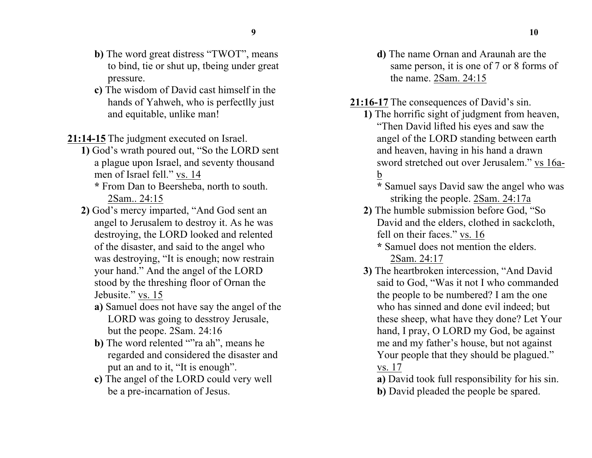- **b)** The word great distress "TWOT", means to bind, tie or shut up, tbeing under great pressure.
- **c)** The wisdom of David cast himself in the hands of Yahweh, who is perfectlly just and equitable, unlike man!

**21:14-15** The judgment executed on Israel.

- **1)** God's wrath poured out, "So the LORD sent a plague upon Israel, and seventy thousand men of Israel fell." vs. 14
	- **\*** From Dan to Beersheba, north to south. 2Sam.. 24:15
- **2)** God's mercy imparted, "And God sent an angel to Jerusalem to destroy it. As he was destroying, the LORD looked and relented of the disaster, and said to the angel who was destroying, "It is enough; now restrain your hand." And the angel of the LORD stood by the threshing floor of Ornan the Jebusite." vs. 15
	- **a)** Samuel does not have say the angel of the LORD was going to desstroy Jerusale, but the peope. 2Sam. 24:16
	- **b)** The word relented ""ra ah", means he regarded and considered the disaster and put an and to it, "It is enough".
	- **c)** The angel of the LORD could very well be a pre-incarnation of Jesus.
- **d)** The name Ornan and Araunah are the same person, it is one of 7 or 8 forms of the name. 2Sam. 24:15
- **21:16-17** The consequences of David's sin.
	- **1)** The horrific sight of judgment from heaven, "Then David lifted his eyes and saw the angel of the LORD standing between earth and heaven, having in his hand a drawn sword stretched out over Jerusalem." vs 16ab
		- **\*** Samuel says David saw the angel who was striking the people. 2Sam. 24:17a
	- **2)** The humble submission before God, "So David and the elders, clothed in sackcloth, fell on their faces." vs. 16
		- **\*** Samuel does not mention the elders. 2Sam. 24:17
	- **3)** The heartbroken intercession, "And David said to God, "Was it not I who commanded the people to be numbered? I am the one who has sinned and done evil indeed; but these sheep, what have they done? Let Your hand, I pray, O LORD my God, be against me and my father's house, but not against Your people that they should be plagued." vs. 17
		- **a)** David took full responsibility for his sin. **b)** David pleaded the people be spared.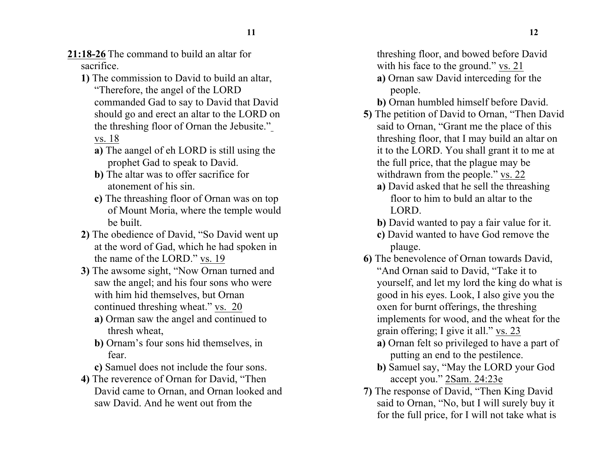- **21:18-26** The command to build an altar for sacrifice.
	- **1)** The commission to David to build an altar, "Therefore, the angel of the LORD commanded Gad to say to David that David should go and erect an altar to the LORD on the threshing floor of Ornan the Jebusite." vs. 18
		- **a)** The aangel of eh LORD is still using the prophet Gad to speak to David.
		- **b)** The altar was to offer sacrifice for atonement of his sin.
		- **c)** The threashing floor of Ornan was on top of Mount Moria, where the temple would be built.
	- **2)** The obedience of David, "So David went up at the word of Gad, which he had spoken in the name of the LORD." vs. 19
	- **3)** The awsome sight, "Now Ornan turned and saw the angel; and his four sons who were with him hid themselves, but Ornan continued threshing wheat." vs. 20
		- **a)** Orman saw the angel and continued to thresh wheat,
		- **b)** Ornam's four sons hid themselves, in fear.
		- **c)** Samuel does not include the four sons.
	- **4)** The reverence of Ornan for David, "Then David came to Ornan, and Ornan looked and saw David. And he went out from the

threshing floor, and bowed before David with his face to the ground." vs. 21

- **a)** Ornan saw David interceding for the people.
- **b)** Ornan humbled himself before David.
- **5)** The petition of David to Ornan, "Then David said to Ornan, "Grant me the place of this threshing floor, that I may build an altar on it to the LORD. You shall grant it to me at the full price, that the plague may be withdrawn from the people." vs. 22
	- **a)** David asked that he sell the threashing floor to him to buld an altar to the LORD.
	- **b)** David wanted to pay a fair value for it.
	- **c)** David wanted to have God remove the plauge.
- **6)** The benevolence of Ornan towards David, "And Ornan said to David, "Take it to yourself, and let my lord the king do what is good in his eyes. Look, I also give you the oxen for burnt offerings, the threshing implements for wood, and the wheat for the grain offering; I give it all." vs. 23
	- **a)** Ornan felt so privileged to have a part of putting an end to the pestilence.
	- **b)** Samuel say, "May the LORD your God accept you." 2Sam. 24:23e
- **7)** The response of David, "Then King David said to Ornan, "No, but I will surely buy it for the full price, for I will not take what is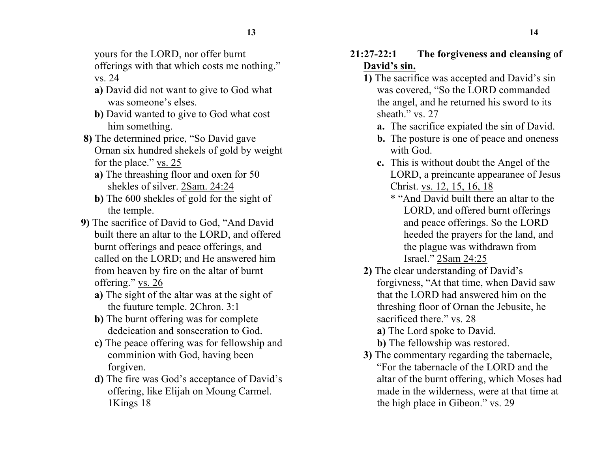yours for the LORD, nor offer burnt

offerings with that which costs me nothing." vs. 24

- **a)** David did not want to give to God what was someone's elses.
- **b)** David wanted to give to God what cost him something.
- **8)** The determined price, "So David gave Ornan six hundred shekels of gold by weight for the place." vs. 25
	- **a)** The threashing floor and oxen for 50 shekles of silver. 2Sam. 24:24
	- **b)** The 600 shekles of gold for the sight of the temple.
- **9)** The sacrifice of David to God, "And David built there an altar to the LORD, and offered burnt offerings and peace offerings, and called on the LORD; and He answered him from heaven by fire on the altar of burnt offering." vs. 26
	- **a)** The sight of the altar was at the sight of the fuuture temple. 2Chron. 3:1
	- **b)** The burnt offering was for complete dedeication and sonsecration to God.
	- **c)** The peace offering was for fellowship and comminion with God, having been forgiven.
	- **d)** The fire was God's acceptance of David's offering, like Elijah on Moung Carmel. 1Kings 18

## **21:27-22:1 The forgiveness and cleansing of David's sin.**

- **1)** The sacrifice was accepted and David's sin was covered, "So the LORD commanded the angel, and he returned his sword to its sheath." vs. 27
	- **a.** The sacrifice expiated the sin of David.
	- **b.** The posture is one of peace and oneness with God.
	- **c.** This is without doubt the Angel of the LORD, a preincante appearanee of Jesus Christ. vs. 12, 15, 16, 18
		- \* "And David built there an altar to the LORD, and offered burnt offerings and peace offerings. So the LORD heeded the prayers for the land, and the plague was withdrawn from Israel." 2Sam 24:25
- **2)** The clear understanding of David's forgivness, "At that time, when David saw that the LORD had answered him on the threshing floor of Ornan the Jebusite, he sacrificed there." vs. 28
	- **a)** The Lord spoke to David.
	- **b)** The fellowship was restored.
- **3)** The commentary regarding the tabernacle, "For the tabernacle of the LORD and the altar of the burnt offering, which Moses had made in the wilderness, were at that time at the high place in Gibeon." vs. 29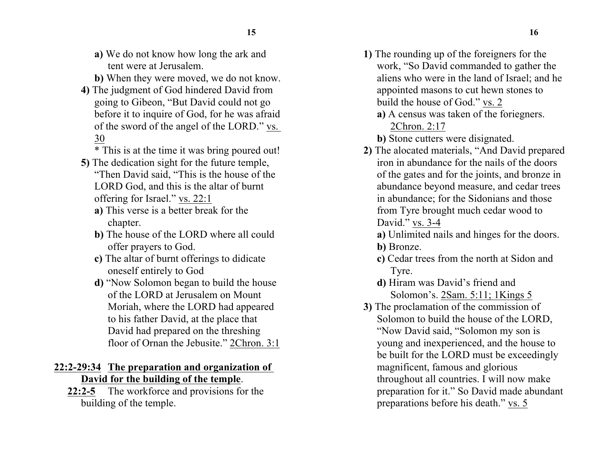- **a)** We do not know how long the ark and tent were at Jerusalem.
- **b)** When they were moved, we do not know.
- **4)** The judgment of God hindered David from going to Gibeon, "But David could not go before it to inquire of God, for he was afraid of the sword of the angel of the LORD." vs. 30

\* This is at the time it was bring poured out!

- **5)** The dedication sight for the future temple, "Then David said, "This is the house of the LORD God, and this is the altar of burnt offering for Israel." vs. 22:1
	- **a)** This verse is a better break for the chapter.
	- **b)** The house of the LORD where all could offer prayers to God.
	- **c)** The altar of burnt offerings to didicate oneself entirely to God
	- **d)** "Now Solomon began to build the house of the LORD at Jerusalem on Mount Moriah, where the LORD had appeared to his father David, at the place that David had prepared on the threshing floor of Ornan the Jebusite." 2Chron. 3:1

### **22:2-29:34 The preparation and organization of David for the building of the temple**.

**22:2-5** The workforce and provisions for the building of the temple.

- **1)** The rounding up of the foreigners for the work, "So David commanded to gather the aliens who were in the land of Israel; and he appointed masons to cut hewn stones to build the house of God." vs. 2
	- **a)** A census was taken of the foriegners. 2Chron. 2:17
	- **b)** Stone cutters were disignated.
- **2)** The alocated materials, "And David prepared iron in abundance for the nails of the doors of the gates and for the joints, and bronze in abundance beyond measure, and cedar trees in abundance; for the Sidonians and those from Tyre brought much cedar wood to David." vs. 3-4
	- **a)** Unlimited nails and hinges for the doors.
	- **b)** Bronze.
	- **c)** Cedar trees from the north at Sidon and Tyre.
	- **d)** Hiram was David's friend and Solomon's. 2Sam. 5:11; 1Kings 5
- **3)** The proclamation of the commission of Solomon to build the house of the LORD, "Now David said, "Solomon my son is young and inexperienced, and the house to be built for the LORD must be exceedingly magnificent, famous and glorious throughout all countries. I will now make preparation for it." So David made abundant preparations before his death." vs. 5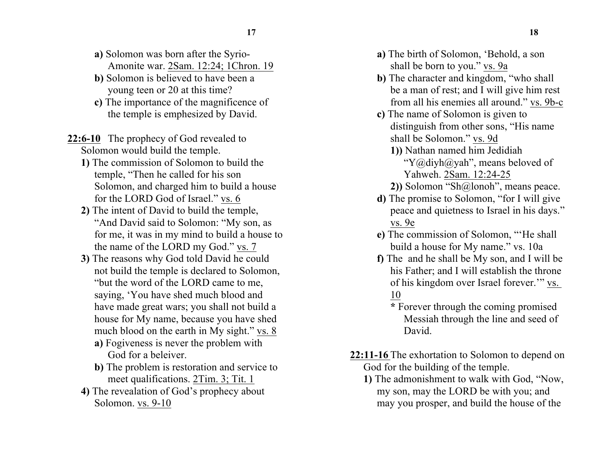- **a)** Solomon was born after the Syrio-
	- Amonite war. 2Sam. 12:24; 1Chron. 19
- **b)** Solomon is believed to have been a young teen or 20 at this time?
- **c)** The importance of the magnificence of the temple is emphesized by David.
- **22:6-10** The prophecy of God revealed to Solomon would build the temple.
	- **1)** The commission of Solomon to build the temple, "Then he called for his son Solomon, and charged him to build a house for the LORD God of Israel." vs. 6
	- **2)** The intent of David to build the temple, "And David said to Solomon: "My son, as for me, it was in my mind to build a house to the name of the LORD my God." vs. 7
	- **3)** The reasons why God told David he could not build the temple is declared to Solomon, "but the word of the LORD came to me, saying, 'You have shed much blood and have made great wars; you shall not build a house for My name, because you have shed much blood on the earth in My sight." vs. 8
		- **a)** Fogiveness is never the problem with God for a beleiver.
		- **b)** The problem is restoration and service to meet qualifications. 2Tim. 3; Tit. 1
	- **4)** The revealation of God's prophecy about Solomon. vs. 9-10
- **a)** The birth of Solomon, 'Behold, a son shall be born to you." vs. 9a
- **b)** The character and kingdom, "who shall be a man of rest; and I will give him rest from all his enemies all around." vs. 9b-c
- **c)** The name of Solomon is given to distinguish from other sons, "His name shall be Solomon." vs. 9d
	- **1))** Nathan named him Jedidiah "Y@diyh@yah", means beloved of Yahweh. 2Sam. 12:24-25
	- **2))** Solomon "Sh@lonoh", means peace.
- **d)** The promise to Solomon, "for I will give peace and quietness to Israel in his days." vs. 9e
- **e)** The commission of Solomon, "'He shall build a house for My name." vs. 10a
- **f)** The and he shall be My son, and I will be his Father; and I will establish the throne of his kingdom over Israel forever.'" vs. 10
	- **\*** Forever through the coming promised Messiah through the line and seed of David.
- **22:11-16** The exhortation to Solomon to depend on God for the building of the temple.
	- **1)** The admonishment to walk with God, "Now, my son, may the LORD be with you; and may you prosper, and build the house of the